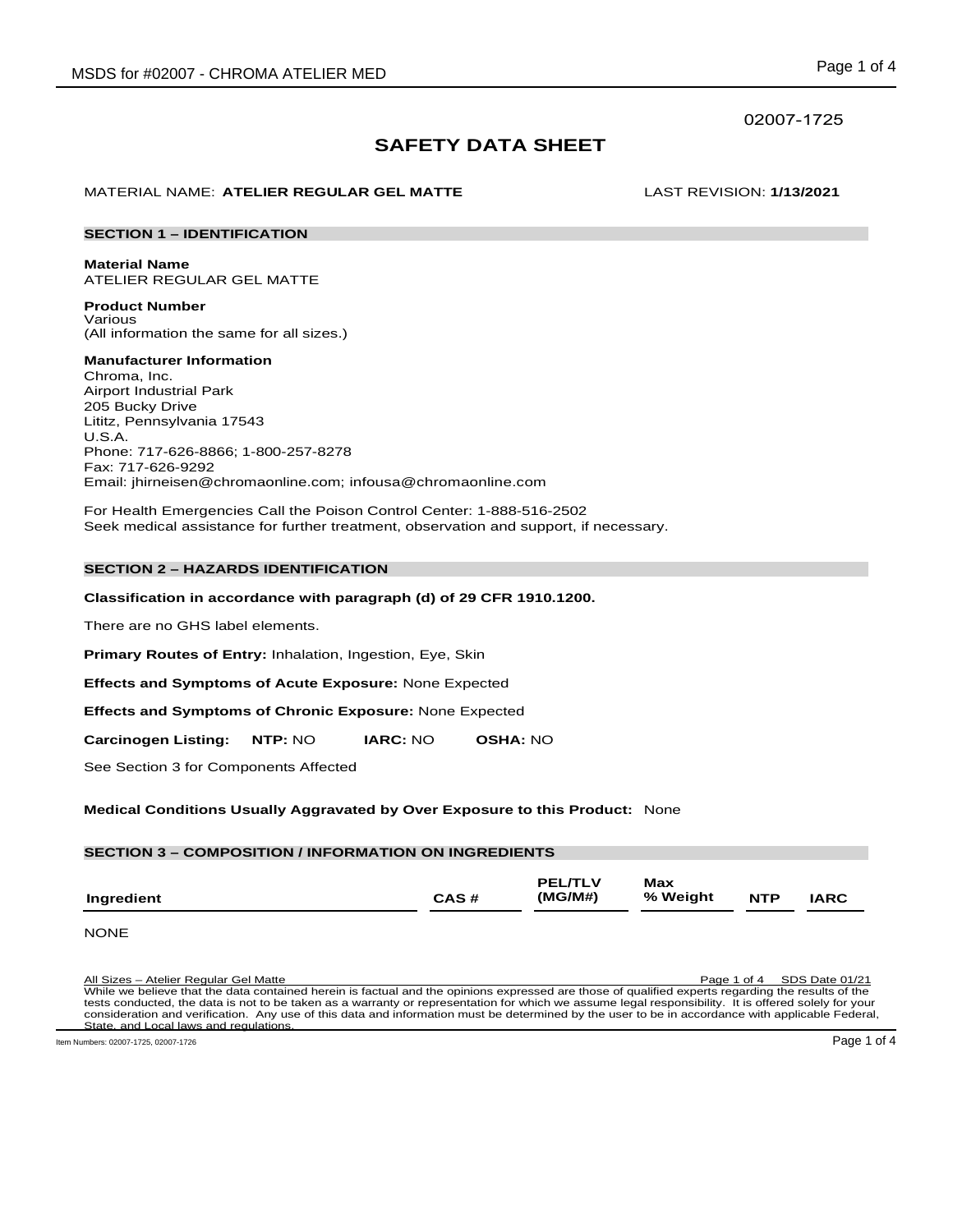# 02007-1725

# **SAFETY DATA SHEET**

# MATERIAL NAME: **ATELIER REGULAR GEL MATTE** LAST REVISION: **1/13/2021**

### **SECTION 1 – IDENTIFICATION**

**Material Name** ATELIER REGULAR GEL MATTE

**Product Number** Various (All information the same for all sizes.)

**Manufacturer Information** Chroma, Inc. Airport Industrial Park 205 Bucky Drive Lititz, Pennsylvania 17543 U.S.A. Phone: 717-626-8866; 1-800-257-8278 Fax: 717-626-9292 Email: jhirneisen@chromaonline.com; infousa@chromaonline.com

For Health Emergencies Call the Poison Control Center: 1-888-516-2502 Seek medical assistance for further treatment, observation and support, if necessary.

# **SECTION 2 – HAZARDS IDENTIFICATION**

# **Classification in accordance with paragraph (d) of 29 CFR 1910.1200.**

There are no GHS label elements.

**Primary Routes of Entry:** Inhalation, Ingestion, Eye, Skin

**Effects and Symptoms of Acute Exposure:** None Expected

**Effects and Symptoms of Chronic Exposure:** None Expected

**Carcinogen Listing: NTP:** NO **IARC:** NO **OSHA:** NO

See Section 3 for Components Affected

# **Medical Conditions Usually Aggravated by Over Exposure to this Product:** None

| <b>SECTION 3 - COMPOSITION / INFORMATION ON INGREDIENTS</b> |      |                |          |            |       |  |  |  |  |
|-------------------------------------------------------------|------|----------------|----------|------------|-------|--|--|--|--|
|                                                             |      |                |          |            |       |  |  |  |  |
|                                                             |      | <b>PEL/TLV</b> | Max      |            |       |  |  |  |  |
| Ingredient                                                  | CAS# | (MG/M#)        | % Weight | <b>NTP</b> | IARC. |  |  |  |  |

NONE

All Sizes – Atelier Regular Gel Matte Page 1 of 4 SDS Date 01/21 While we believe that the data contained herein is factual and the opinions expressed are those of qualified experts regarding the results of the tests conducted, the data is not to be taken as a warranty or representation for which we assume legal responsibility. It is offered solely for your consideration and verification. Any use of this data and information must be determined by the user to be in accordance with applicable Federal, State, and Local laws and regulations.

Item Numbers: 02007-1725, 02007-1726 Page 1 of 4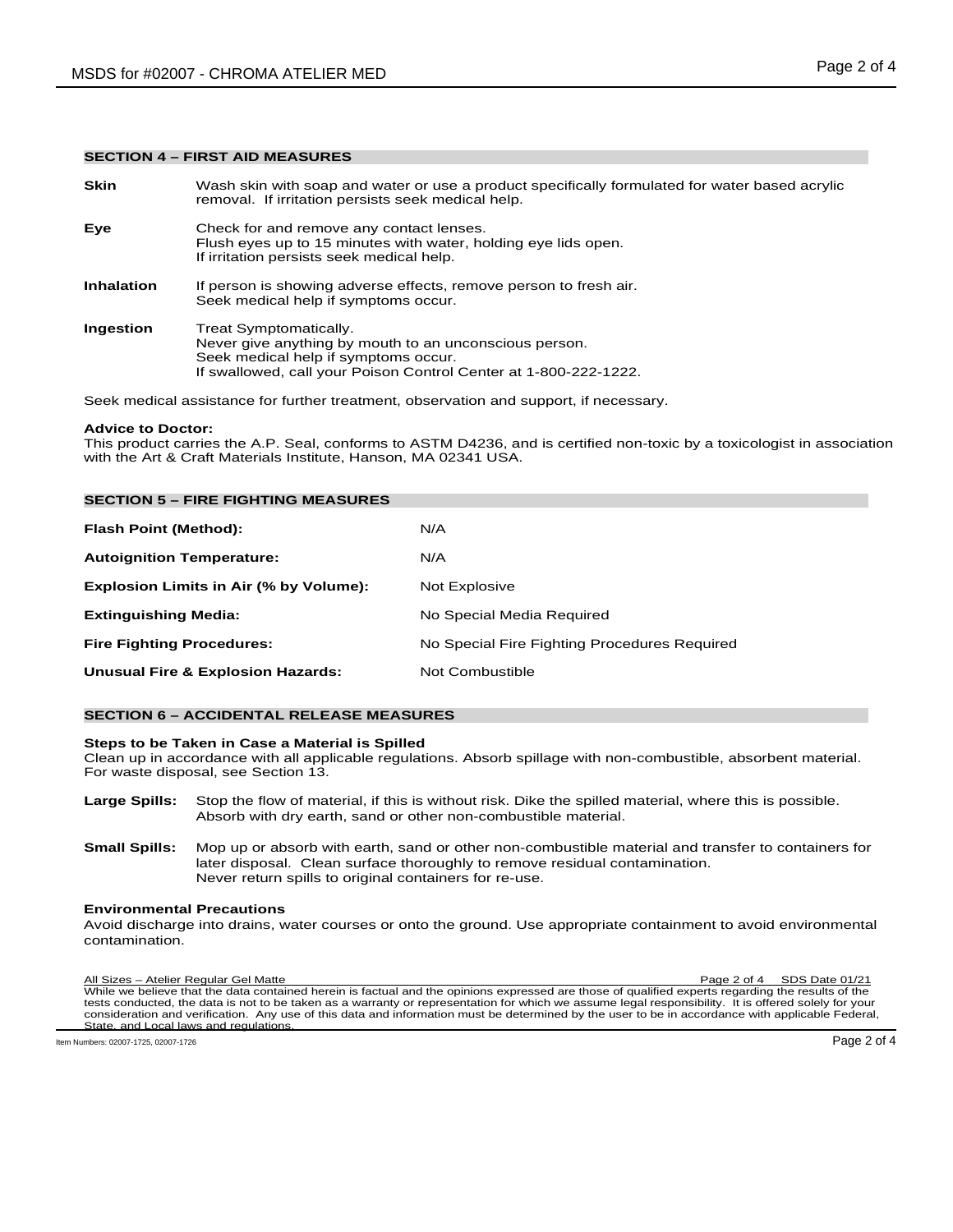# **SECTION 4 – FIRST AID MEASURES**

| <b>Skin</b>       | Wash skin with soap and water or use a product specifically formulated for water based acrylic<br>removal. If irritation persists seek medical help.                                         |
|-------------------|----------------------------------------------------------------------------------------------------------------------------------------------------------------------------------------------|
| Eye               | Check for and remove any contact lenses.<br>Flush eyes up to 15 minutes with water, holding eye lids open.<br>If irritation persists seek medical help.                                      |
| <b>Inhalation</b> | If person is showing adverse effects, remove person to fresh air.<br>Seek medical help if symptoms occur.                                                                                    |
| Ingestion         | Treat Symptomatically.<br>Never give anything by mouth to an unconscious person.<br>Seek medical help if symptoms occur.<br>If swallowed, call your Poison Control Center at 1-800-222-1222. |
|                   |                                                                                                                                                                                              |

Seek medical assistance for further treatment, observation and support, if necessary.

#### **Advice to Doctor:**

This product carries the A.P. Seal, conforms to ASTM D4236, and is certified non-toxic by a toxicologist in association with the Art & Craft Materials Institute, Hanson, MA 02341 USA.

| <b>SECTION 5 - FIRE FIGHTING MEASURES</b>    |                                              |
|----------------------------------------------|----------------------------------------------|
| Flash Point (Method):                        | N/A                                          |
| <b>Autoignition Temperature:</b>             | N/A                                          |
| Explosion Limits in Air (% by Volume):       | Not Explosive                                |
| <b>Extinguishing Media:</b>                  | No Special Media Required                    |
| <b>Fire Fighting Procedures:</b>             | No Special Fire Fighting Procedures Required |
| <b>Unusual Fire &amp; Explosion Hazards:</b> | Not Combustible                              |

# **SECTION 6 – ACCIDENTAL RELEASE MEASURES**

#### **Steps to be Taken in Case a Material is Spilled**

Clean up in accordance with all applicable regulations. Absorb spillage with non-combustible, absorbent material. For waste disposal, see Section 13.

- **Large Spills:** Stop the flow of material, if this is without risk. Dike the spilled material, where this is possible. Absorb with dry earth, sand or other non-combustible material.
- **Small Spills:** Mop up or absorb with earth, sand or other non-combustible material and transfer to containers for later disposal. Clean surface thoroughly to remove residual contamination. Never return spills to original containers for re-use.

# **Environmental Precautions**

Avoid discharge into drains, water courses or onto the ground. Use appropriate containment to avoid environmental contamination.

All Sizes – Atelier Regular Gel Matte Page 2 of 4 SDS Date 01/21 While we believe that the data contained herein is factual and the opinions expressed are those of qualified experts regarding the results of the tests conducted, the data is not to be taken as a warranty or representation for which we assume legal responsibility. It is offered solely for your consideration and verification. Any use of this data and information must be determined by the user to be in accordance with applicable Federal, State, and Local laws and regulations. Item Numbers: 02007-1725, 02007-1726 Page 2 of 4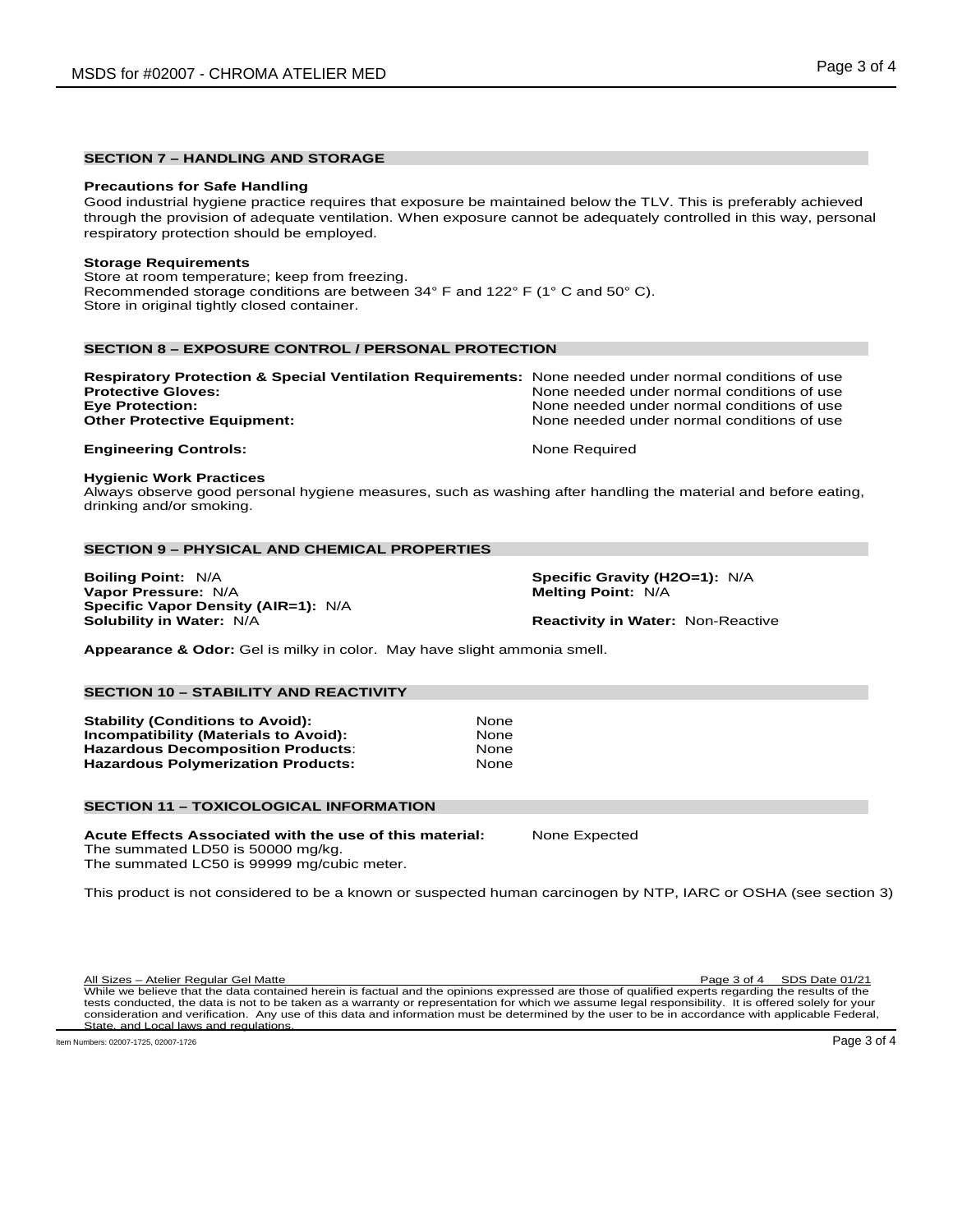# **SECTION 7 – HANDLING AND STORAGE**

#### **Precautions for Safe Handling**

Good industrial hygiene practice requires that exposure be maintained below the TLV. This is preferably achieved through the provision of adequate ventilation. When exposure cannot be adequately controlled in this way, personal respiratory protection should be employed.

#### **Storage Requirements**

Store at room temperature; keep from freezing. Recommended storage conditions are between 34° F and 122° F (1° C and 50° C). Store in original tightly closed container.

# **SECTION 8 – EXPOSURE CONTROL / PERSONAL PROTECTION**

| Respiratory Protection & Special Ventilation Requirements: None needed under normal conditions of use |
|-------------------------------------------------------------------------------------------------------|
| None needed under normal conditions of use                                                            |
| None needed under normal conditions of use                                                            |
| None needed under normal conditions of use                                                            |
|                                                                                                       |
|                                                                                                       |

# **Hygienic Work Practices**

Always observe good personal hygiene measures, such as washing after handling the material and before eating, drinking and/or smoking.

#### **SECTION 9 – PHYSICAL AND CHEMICAL PROPERTIES**

**Boiling Point:** N/A **Specific Gravity (H2O=1):** N/A **Vapor Pressure: N/A Specific Vapor Density (AIR=1):** N/A

**Reactivity in Water: Non-Reactive** 

**Appearance & Odor:** Gel is milky in color. May have slight ammonia smell.

### **SECTION 10 – STABILITY AND REACTIVITY**

**Stability (Conditions to Avoid):** None **Incompatibility (Materials to Avoid): None**<br> **Hazardous Decomposition Products Hazardous Decomposition Products**: None **Hazardous Polymerization Products:** 

### **SECTION 11 – TOXICOLOGICAL INFORMATION**

**Acute Effects Associated with the use of this material:** None Expected The summated LD50 is 50000 mg/kg.

The summated LC50 is 99999 mg/cubic meter.

This product is not considered to be a known or suspected human carcinogen by NTP, IARC or OSHA (see section 3)

All Sizes – Atelier Regular Gel Matte Page 3 of 4 SDS Date 01/21 While we believe that the data contained herein is factual and the opinions expressed are those of qualified experts regarding the results of the tests conducted, the data is not to be taken as a warranty or representation for which we assume legal responsibility. It is offered solely for your consideration and verification. Any use of this data and information must be determined by the user to be in accordance with applicable Federal, State, and Local laws and regulations.